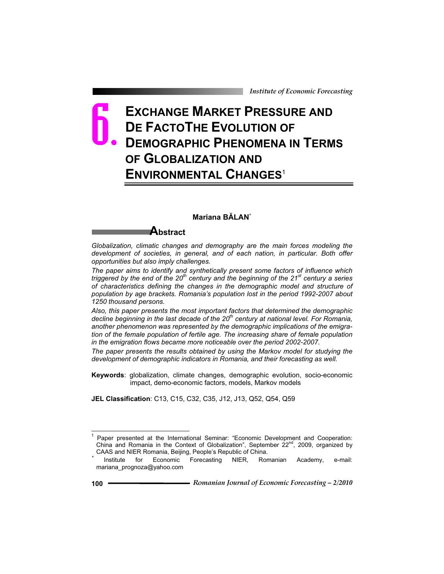## **EXCHANGE MARKET PRESSURE AND DE FACTOTHE EVOLUTION OF DEMOGRAPHIC PHENOMENA IN TERMS OF GLOBALIZATION AND ENVIRONMENTAL CHANGES**<sup>1</sup> 6.

## **Mariana BĂLAN\***

## **Abstract**

*Globalization, climatic changes and demography are the main forces modeling the development of societies, in general, and of each nation, in particular. Both offer opportunities but also imply challenges.* 

*The paper aims to identify and synthetically present some factors of influence which triggered by the end of the 20th century and the beginning of the 21st century a series of characteristics defining the changes in the demographic model and structure of population by age brackets. Romania's population lost in the period 1992-2007 about 1250 thousand persons.* 

*Also, this paper presents the most important factors that determined the demographic decline beginning in the last decade of the 20th century at national level. For Romania, another phenomenon was represented by the demographic implications of the emigration of the female population of fertile age. The increasing share of female population in the emigration flows became more noticeable over the period 2002-2007.* 

*The paper presents the results obtained by using the Markov model for studying the development of demographic indicators in Romania, and their forecasting as well.* 

**Keywords**: globalization, climate changes, demographic evolution, socio-economic impact, demo-economic factors, models, Markov models

**JEL Classification**: C13, C15, C32, C35, J12, J13, Q52, Q54, Q59

 $\overline{a}$ 

<sup>1</sup> Paper presented at the International Seminar: "Economic Development and Cooperation: China and Romania in the Context of Globalization", September  $22^{n}$ , 2009, organized by CAAS and NIER Romania, Beijing, People's Republic of China. *\** Institute for Economic Forecasting NIER, Romanian Academy, e-mail:

mariana\_prognoza@yahoo.com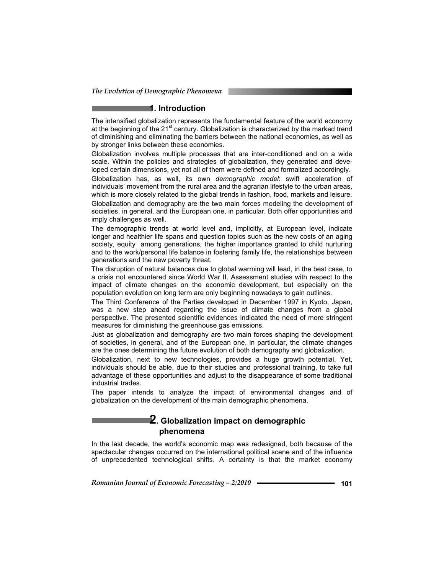#### **1. Introduction**

The intensified globalization represents the fundamental feature of the world economy at the beginning of the  $21<sup>st</sup>$  century. Globalization is characterized by the marked trend of diminishing and eliminating the barriers between the national economies, as well as by stronger links between these economies.

Globalization involves multiple processes that are inter-conditioned and on a wide scale. Within the policies and strategies of globalization, they generated and developed certain dimensions, yet not all of them were defined and formalized accordingly.

Globalization has, as well, its own *demographic model*: swift acceleration of individuals' movement from the rural area and the agrarian lifestyle to the urban areas, which is more closely related to the global trends in fashion, food, markets and leisure.

Globalization and demography are the two main forces modeling the development of societies, in general, and the European one, in particular. Both offer opportunities and imply challenges as well.

The demographic trends at world level and, implicitly, at European level, indicate longer and healthier life spans and question topics such as the new costs of an aging society, equity among generations, the higher importance granted to child nurturing and to the work/personal life balance in fostering family life, the relationships between generations and the new poverty threat.

The disruption of natural balances due to global warming will lead, in the best case, to a crisis not encountered since World War II. Assessment studies with respect to the impact of climate changes on the economic development, but especially on the population evolution on long term are only beginning nowadays to gain outlines.

The Third Conference of the Parties developed in December 1997 in Kyoto, Japan, was a new step ahead regarding the issue of climate changes from a global perspective. The presented scientific evidences indicated the need of more stringent measures for diminishing the greenhouse gas emissions.

Just as globalization and demography are two main forces shaping the development of societies, in general, and of the European one, in particular, the climate changes are the ones determining the future evolution of both demography and globalization.

Globalization, next to new technologies, provides a huge growth potential. Yet, individuals should be able, due to their studies and professional training, to take full advantage of these opportunities and adjust to the disappearance of some traditional industrial trades.

The paper intends to analyze the impact of environmental changes and of globalization on the development of the main demographic phenomena.

## **2. Globalization impact on demographic phenomena**

In the last decade, the world's economic map was redesigned, both because of the spectacular changes occurred on the international political scene and of the influence of unprecedented technological shifts. A certainty is that the market economy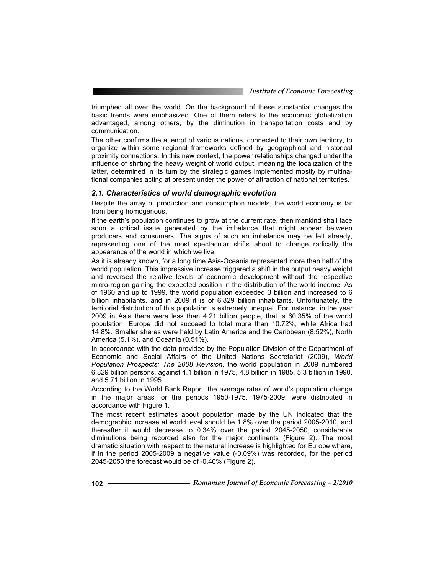triumphed all over the world. On the background of these substantial changes the basic trends were emphasized. One of them refers to the economic globalization advantaged, among others, by the diminution in transportation costs and by communication.

The other confirms the attempt of various nations, connected to their own territory, to organize within some regional frameworks defined by geographical and historical proximity connections. In this new context, the power relationships changed under the influence of shifting the heavy weight of world output, meaning the localization of the latter, determined in its turn by the strategic games implemented mostly by multinational companies acting at present under the power of attraction of national territories.

#### *2.1. Characteristics of world demographic evolution*

Despite the array of production and consumption models, the world economy is far from being homogenous.

If the earth's population continues to grow at the current rate, then mankind shall face soon a critical issue generated by the imbalance that might appear between producers and consumers. The signs of such an imbalance may be felt already, representing one of the most spectacular shifts about to change radically the appearance of the world in which we live.

As it is already known, for a long time Asia-Oceania represented more than half of the world population. This impressive increase triggered a shift in the output heavy weight and reversed the relative levels of economic development without the respective micro-region gaining the expected position in the distribution of the world income. As of 1960 and up to 1999, the world population exceeded 3 billion and increased to 6 billion inhabitants, and in 2009 it is of 6.829 billion inhabitants. Unfortunately, the territorial distribution of this population is extremely unequal. For instance, in the year 2009 in Asia there were less than 4.21 billion people, that is 60.35% of the world population. Europe did not succeed to total more than 10.72%, while Africa had 14.8%. Smaller shares were held by Latin America and the Caribbean (8.52%), North America (5.1%), and Oceania (0.51%).

In accordance with the data provided by the Population Division of the Department of Economic and Social Affairs of the United Nations Secretariat (2009), *World Population Prospects: The 2008 Revision*, the world population in 2009 numbered 6.829 billion persons, against 4.1 billion in 1975, 4.8 billion in 1985, 5.3 billion in 1990, and 5.71 billion in 1995.

According to the World Bank Report, the average rates of world's population change in the major areas for the periods 1950-1975, 1975-2009, were distributed in accordance with Figure 1.

The most recent estimates about population made by the UN indicated that the demographic increase at world level should be 1.8% over the period 2005-2010, and thereafter it would decrease to 0.34% over the period 2045-2050, considerable diminutions being recorded also for the major continents (Figure 2). The most dramatic situation with respect to the natural increase is highlighted for Europe where, if in the period 2005-2009 a negative value (-0.09%) was recorded, for the period 2045-2050 the forecast would be of -0.40% (Figure 2).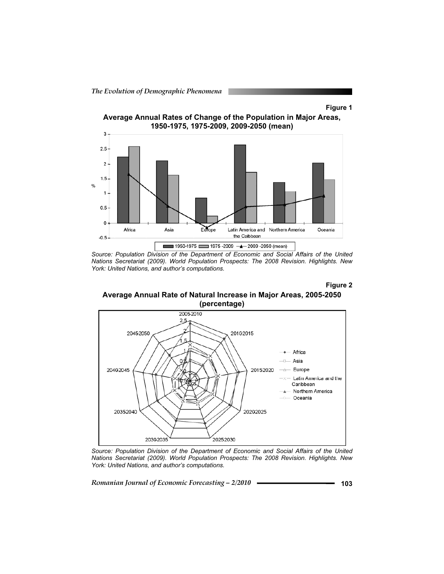*The Evolution of Demographic Phenomena* 





*Source: Population Division of the Department of Economic and Social Affairs of the United Nations Secretariat (2009). World Population Prospects: The 2008 Revision. Highlights. New York: United Nations, and author's computations.* 

**Figure 2** 

**Average Annual Rate of Natural Increase in Major Areas, 2005-2050 (percentage)**



*Source: Population Division of the Department of Economic and Social Affairs of the United Nations Secretariat (2009). World Population Prospects: The 2008 Revision. Highlights. New York: United Nations, and author's computations.* 

Romanian Journal of Economic Forecasting – 2/2010 **- Conserversion** 103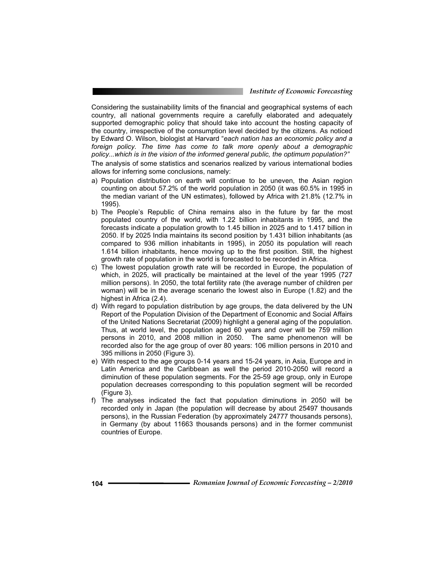*Institute of Economic Forecasting*

Considering the sustainability limits of the financial and geographical systems of each country, all national governments require a carefully elaborated and adequately supported demographic policy that should take into account the hosting capacity of the country, irrespective of the consumption level decided by the citizens. As noticed by Edward O. Wilson, biologist at Harvard "*each nation has an economic policy and a*  foreign policy. The time has come to talk more openly about a demographic *policy...which is in the vision of the informed general public, the optimum population?"*  The analysis of some statistics and scenarios realized by various international bodies allows for inferring some conclusions, namely:

- a) Population distribution on earth will continue to be uneven, the Asian region counting on about 57.2% of the world population in 2050 (it was 60.5% in 1995 in the median variant of the UN estimates), followed by Africa with 21.8% (12.7% in 1995).
- b) The People's Republic of China remains also in the future by far the most populated country of the world, with 1.22 billion inhabitants in 1995, and the forecasts indicate a population growth to 1.45 billion in 2025 and to 1.417 billion in 2050. If by 2025 India maintains its second position by 1.431 billion inhabitants (as compared to 936 million inhabitants in 1995), in 2050 its population will reach 1.614 billion inhabitants, hence moving up to the first position. Still, the highest growth rate of population in the world is forecasted to be recorded in Africa.
- c) The lowest population growth rate will be recorded in Europe, the population of which, in 2025, will practically be maintained at the level of the year 1995 (727 million persons). In 2050, the total fertility rate (the average number of children per woman) will be in the average scenario the lowest also in Europe (1.82) and the highest in Africa (2.4).
- d) With regard to population distribution by age groups, the data delivered by the UN Report of the Population Division of the Department of Economic and Social Affairs of the United Nations Secretariat (2009) highlight a general aging of the population. Thus, at world level, the population aged 60 years and over will be 759 million persons in 2010, and 2008 million in 2050. The same phenomenon will be recorded also for the age group of over 80 years: 106 million persons in 2010 and 395 millions in 2050 (Figure 3).
- e) With respect to the age groups 0-14 years and 15-24 years, in Asia, Europe and in Latin America and the Caribbean as well the period 2010-2050 will record a diminution of these population segments. For the 25-59 age group, only in Europe population decreases corresponding to this population segment will be recorded (Figure 3).
- f) The analyses indicated the fact that population diminutions in 2050 will be recorded only in Japan (the population will decrease by about 25497 thousands persons), in the Russian Federation (by approximately 24777 thousands persons), in Germany (by about 11663 thousands persons) and in the former communist countries of Europe.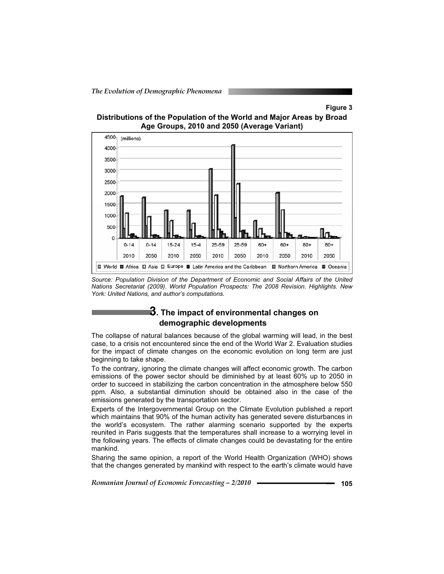## **Figure 3**





*Source: Population Division of the Department of Economic and Social Affairs of the United Nations Secretariat (2009). World Population Prospects: The 2008 Revision. Highlights. New York: United Nations, and author's computations.* 

## **3. The impact of environmental changes on demographic developments**

The collapse of natural balances because of the global warming will lead, in the best case, to a crisis not encountered since the end of the World War 2. Evaluation studies for the impact of climate changes on the economic evolution on long term are just beginning to take shape.

To the contrary, ignoring the climate changes will affect economic growth. The carbon emissions of the power sector should be diminished by at least 60% up to 2050 in order to succeed in stabilizing the carbon concentration in the atmosphere below 550 ppm. Also, a substantial diminution should be obtained also in the case of the emissions generated by the transportation sector.

Experts of the Intergovernmental Group on the Climate Evolution published a report which maintains that 90% of the human activity has generated severe disturbances in the world's ecosystem. The rather alarming scenario supported by the experts reunited in Paris suggests that the temperatures shall increase to a worrying level in the following years. The effects of climate changes could be devastating for the entire mankind.

Sharing the same opinion, a report of the World Health Organization (WHO) shows that the changes generated by mankind with respect to the earth's climate would have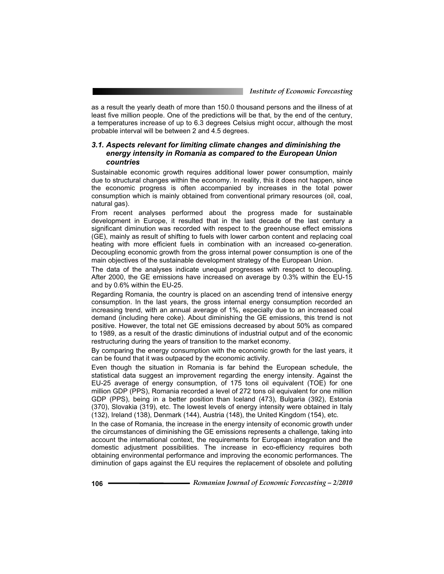as a result the yearly death of more than 150.0 thousand persons and the illness of at least five million people. One of the predictions will be that, by the end of the century, a temperatures increase of up to 6.3 degrees Celsius might occur, although the most probable interval will be between 2 and 4.5 degrees.

### *3.1. Aspects relevant for limiting climate changes and diminishing the energy intensity in Romania as compared to the European Union countries*

Sustainable economic growth requires additional lower power consumption, mainly due to structural changes within the economy. In reality, this it does not happen, since the economic progress is often accompanied by increases in the total power consumption which is mainly obtained from conventional primary resources (oil, coal, natural gas).

From recent analyses performed about the progress made for sustainable development in Europe, it resulted that in the last decade of the last century a significant diminution was recorded with respect to the greenhouse effect emissions (GE), mainly as result of shifting to fuels with lower carbon content and replacing coal heating with more efficient fuels in combination with an increased co-generation. Decoupling economic growth from the gross internal power consumption is one of the main objectives of the sustainable development strategy of the European Union.

The data of the analyses indicate unequal progresses with respect to decoupling. After 2000, the GE emissions have increased on average by 0.3% within the EU-15 and by 0.6% within the EU-25.

Regarding Romania, the country is placed on an ascending trend of intensive energy consumption. In the last years, the gross internal energy consumption recorded an increasing trend, with an annual average of 1%, especially due to an increased coal demand (including here coke). About diminishing the GE emissions, this trend is not positive. However, the total net GE emissions decreased by about 50% as compared to 1989, as a result of the drastic diminutions of industrial output and of the economic restructuring during the years of transition to the market economy.

By comparing the energy consumption with the economic growth for the last years, it can be found that it was outpaced by the economic activity.

Even though the situation in Romania is far behind the European schedule, the statistical data suggest an improvement regarding the energy intensity. Against the EU-25 average of energy consumption, of 175 tons oil equivalent (TOE) for one million GDP (PPS), Romania recorded a level of 272 tons oil equivalent for one million GDP (PPS), being in a better position than Iceland (473), Bulgaria (392), Estonia (370), Slovakia (319), etc. The lowest levels of energy intensity were obtained in Italy (132), Ireland (138), Denmark (144), Austria (148), the United Kingdom (154), etc.

In the case of Romania, the increase in the energy intensity of economic growth under the circumstances of diminishing the GE emissions represents a challenge, taking into account the international context, the requirements for European integration and the domestic adjustment possibilities. The increase in eco-efficiency requires both obtaining environmental performance and improving the economic performances. The diminution of gaps against the EU requires the replacement of obsolete and polluting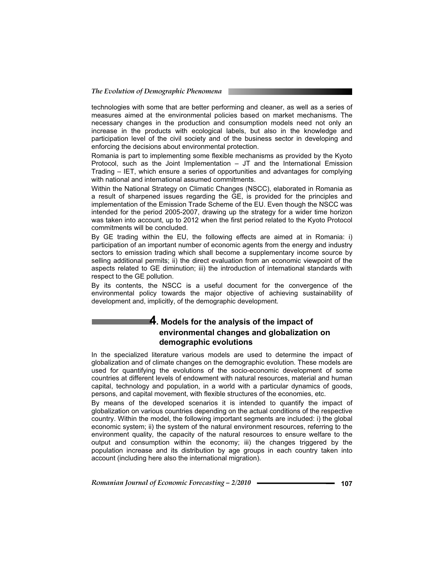technologies with some that are better performing and cleaner, as well as a series of measures aimed at the environmental policies based on market mechanisms. The necessary changes in the production and consumption models need not only an increase in the products with ecological labels, but also in the knowledge and participation level of the civil society and of the business sector in developing and enforcing the decisions about environmental protection.

Romania is part to implementing some flexible mechanisms as provided by the Kyoto Protocol, such as the Joint Implementation – JT and the International Emission Trading – IET, which ensure a series of opportunities and advantages for complying with national and international assumed commitments.

Within the National Strategy on Climatic Changes (NSCC), elaborated in Romania as a result of sharpened issues regarding the GE, is provided for the principles and implementation of the Emission Trade Scheme of the EU. Even though the NSCC was intended for the period 2005-2007, drawing up the strategy for a wider time horizon was taken into account, up to 2012 when the first period related to the Kyoto Protocol commitments will be concluded.

By GE trading within the EU, the following effects are aimed at in Romania: i) participation of an important number of economic agents from the energy and industry sectors to emission trading which shall become a supplementary income source by selling additional permits; ii) the direct evaluation from an economic viewpoint of the aspects related to GE diminution; iii) the introduction of international standards with respect to the GE pollution.

By its contents, the NSCC is a useful document for the convergence of the environmental policy towards the major objective of achieving sustainability of development and, implicitly, of the demographic development.

## **4. Models for the analysis of the impact of environmental changes and globalization on demographic evolutions**

In the specialized literature various models are used to determine the impact of globalization and of climate changes on the demographic evolution. These models are used for quantifying the evolutions of the socio-economic development of some countries at different levels of endowment with natural resources, material and human capital, technology and population, in a world with a particular dynamics of goods, persons, and capital movement, with flexible structures of the economies, etc.

By means of the developed scenarios it is intended to quantify the impact of globalization on various countries depending on the actual conditions of the respective country. Within the model, the following important segments are included: i) the global economic system; ii) the system of the natural environment resources, referring to the environment quality, the capacity of the natural resources to ensure welfare to the output and consumption within the economy; iii) the changes triggered by the population increase and its distribution by age groups in each country taken into account (including here also the international migration).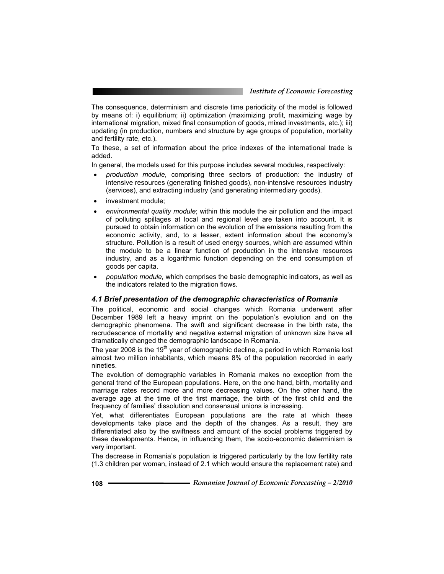The consequence, determinism and discrete time periodicity of the model is followed by means of: i) equilibrium; ii) optimization (maximizing profit, maximizing wage by international migration, mixed final consumption of goods, mixed investments, etc.); iii) updating (in production, numbers and structure by age groups of population, mortality and fertility rate, etc.).

To these, a set of information about the price indexes of the international trade is added.

In general, the models used for this purpose includes several modules, respectively:

- x *production module*, comprising three sectors of production: the industry of intensive resources (generating finished goods), non-intensive resources industry (services), and extracting industry (and generating intermediary goods).
- investment module:
- environmental quality module; within this module the air pollution and the impact of polluting spillages at local and regional level are taken into account. It is pursued to obtain information on the evolution of the emissions resulting from the economic activity, and, to a lesser, extent information about the economy's structure. Pollution is a result of used energy sources, which are assumed within the module to be a linear function of production in the intensive resources industry, and as a logarithmic function depending on the end consumption of goods per capita.
- x *population module,* which comprises the basic demographic indicators, as well as the indicators related to the migration flows.

#### *4.1 Brief presentation of the demographic characteristics of Romania*

The political, economic and social changes which Romania underwent after December 1989 left a heavy imprint on the population's evolution and on the demographic phenomena. The swift and significant decrease in the birth rate, the recrudescence of mortality and negative external migration of unknown size have all dramatically changed the demographic landscape in Romania.

The year 2008 is the 19<sup>th</sup> year of demographic decline, a period in which Romania lost almost two million inhabitants, which means 8% of the population recorded in early nineties.

The evolution of demographic variables in Romania makes no exception from the general trend of the European populations. Here, on the one hand, birth, mortality and marriage rates record more and more decreasing values. On the other hand, the average age at the time of the first marriage, the birth of the first child and the frequency of families' dissolution and consensual unions is increasing.

Yet, what differentiates European populations are the rate at which these developments take place and the depth of the changes. As a result, they are differentiated also by the swiftness and amount of the social problems triggered by these developments. Hence, in influencing them, the socio-economic determinism is very important.

The decrease in Romania's population is triggered particularly by the low fertility rate (1.3 children per woman, instead of 2.1 which would ensure the replacement rate) and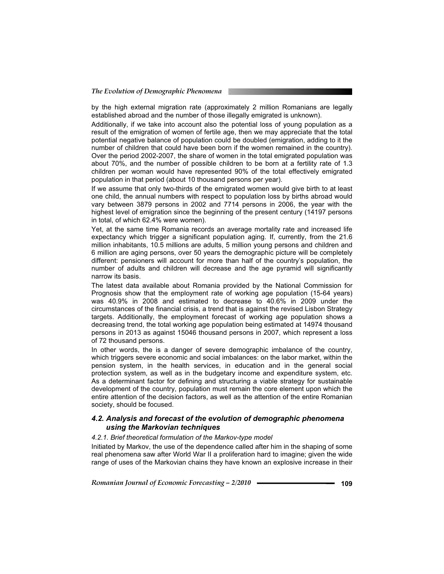by the high external migration rate (approximately 2 million Romanians are legally established abroad and the number of those illegally emigrated is unknown).

Additionally, if we take into account also the potential loss of young population as a result of the emigration of women of fertile age, then we may appreciate that the total potential negative balance of population could be doubled (emigration, adding to it the number of children that could have been born if the women remained in the country). Over the period 2002-2007, the share of women in the total emigrated population was about 70%, and the number of possible children to be born at a fertility rate of 1.3 children per woman would have represented 90% of the total effectively emigrated population in that period (about 10 thousand persons per year).

If we assume that only two-thirds of the emigrated women would give birth to at least one child, the annual numbers with respect to population loss by births abroad would vary between 3879 persons in 2002 and 7714 persons in 2006, the year with the highest level of emigration since the beginning of the present century (14197 persons in total, of which 62.4% were women).

Yet, at the same time Romania records an average mortality rate and increased life expectancy which trigger a significant population aging. If, currently, from the 21.6 million inhabitants, 10.5 millions are adults, 5 million young persons and children and 6 million are aging persons, over 50 years the demographic picture will be completely different: pensioners will account for more than half of the country's population, the number of adults and children will decrease and the age pyramid will significantly narrow its basis.

The latest data available about Romania provided by the National Commission for Prognosis show that the employment rate of working age population (15-64 years) was 40.9% in 2008 and estimated to decrease to 40.6% in 2009 under the circumstances of the financial crisis, a trend that is against the revised Lisbon Strategy targets. Additionally, the employment forecast of working age population shows a decreasing trend, the total working age population being estimated at 14974 thousand persons in 2013 as against 15046 thousand persons in 2007, which represent a loss of 72 thousand persons.

In other words, the is a danger of severe demographic imbalance of the country, which triggers severe economic and social imbalances: on the labor market, within the pension system, in the health services, in education and in the general social protection system, as well as in the budgetary income and expenditure system, etc. As a determinant factor for defining and structuring a viable strategy for sustainable development of the country, population must remain the core element upon which the entire attention of the decision factors, as well as the attention of the entire Romanian society, should be focused.

#### *4.2. Analysis and forecast of the evolution of demographic phenomena using the Markovian techniques*

#### *4.2.1. Brief theoretical formulation of the Markov-type model*

Initiated by Markov, the use of the dependence called after him in the shaping of some real phenomena saw after World War II a proliferation hard to imagine; given the wide range of uses of the Markovian chains they have known an explosive increase in their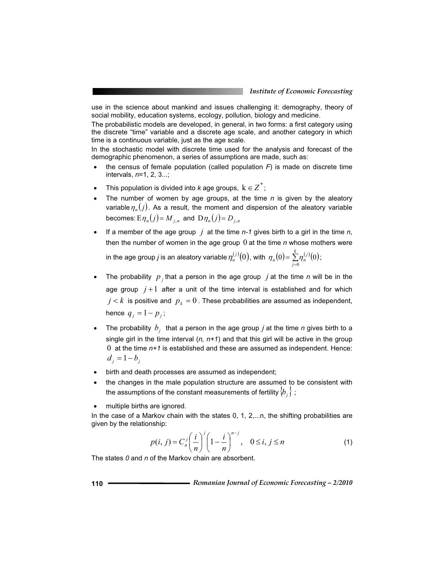use in the science about mankind and issues challenging it: demography, theory of social mobility, education systems, ecology, pollution, biology and medicine.

The probabilistic models are developed, in general, in two forms: a first category using the discrete "time" variable and a discrete age scale, and another category in which time is a continuous variable, just as the age scale.

In the stochastic model with discrete time used for the analysis and forecast of the demographic phenomenon, a series of assumptions are made, such as:

- the census of female population (called population  $F$ ) is made on discrete time intervals, *n*=1, 2, 3...;
- This population is divided into *k* age groups,  $k \in Z^*$ ;
- The number of women by age groups, at the time  $n$  is given by the aleatory variable  $\eta_n(j)$ . As a result, the moment and dispersion of the aleatory variable becomes:  $E \eta_n(j) = M_{i,n}$  and  $D \eta_n(j) = D_{i,n}$
- <sup>x</sup> If a member of the age group *j* at the time *n-1* gives birth to a girl in the time *n*, then the number of women in the age group 0 at the time *n* whose mothers were

in the age group *j* is an aleatory variable  $\eta^{(j)}_n(0)$ , with  $\,\eta_n(0)\!=\!\sum\limits_{j=0}^k\!\eta^{(j)}_n\!(0)$  $\eta_n(0) = \sum_{i=0}^{n} \eta_n^{(i)}(0)$ ;

- The probability  $p_j$  that a person in the age group  $j$  at the time  $n$  will be in the age group  $j+1$  after a unit of the time interval is established and for which  $j < k$  is positive and  $p_k = 0$ . These probabilities are assumed as independent, hence  $q_{i} = 1 - p_{i}$ ;
- The probability  $b_j$  that a person in the age group  $j$  at the time  $n$  gives birth to a single girl in the time interval  $(n, n+1)$  and that this girl will be active in the group 0 at the time *n+1* is established and these are assumed as independent. Hence:  $d_i = 1 - b_i$
- birth and death processes are assumed as independent;
- the changes in the male population structure are assumed to be consistent with the assumptions of the constant measurements of fertility  $\left\{ b_{j}\right\}$  ;
- multiple births are ignored.

In the case of a Markov chain with the states 0, 1, 2,...n, the shifting probabilities are given by the relationship:

$$
p(i, j) = C_n^j \left(\frac{i}{n}\right)^j \left(1 - \frac{i}{n}\right)^{n-j}, \quad 0 \le i, j \le n
$$
 (1)

The states *0* and *n* of the Markov chain are absorbent.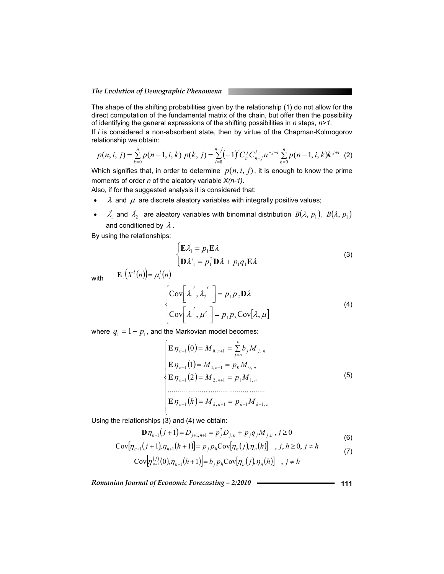The shape of the shifting probabilities given by the relationship (1) do not allow for the direct computation of the fundamental matrix of the chain, but offer then the possibility of identifying the general expressions of the shifting possibilities in *n* steps, *n>1*.

If *i* is considered a non-absorbent state, then by virtue of the Chapman-Kolmogorov relationship we obtain:

$$
p(n,i,j) = \sum_{k=0}^{n} p(n-1,i,k) \ p(k,j) = \sum_{l=0}^{n-j} (-1)^{l} C_{n}^{j} C_{n-j}^{l} n^{-j-i} \sum_{k=0}^{n} p(n-1,i,k) k^{j+i} \tag{2}
$$

Which signifies that, in order to determine  $p(n, i, j)$ , it is enough to know the prime moments of order *n* of the aleatory variable *X(n-1)*.

Also, if for the suggested analysis it is considered that:

- $\lambda$  and  $\mu$  are discrete aleatory variables with integrally positive values;
- $\lambda'_1$  and  $\lambda'_2$  are aleatory variables with binominal distribution  $B(\lambda, p_1)$ ,  $B(\lambda, p_1)$ and conditioned by  $\lambda$ .

By using the relationships:

$$
\begin{cases}\n\mathbf{E}\lambda_1 = p_1 \mathbf{E}\lambda\\ \n\mathbf{D}\lambda_1 = p_1^2 \mathbf{D}\lambda + p_1 q_1 \mathbf{E}\lambda\n\end{cases}
$$
\n(3)

with  $\mathbf{E}_i(X^l(n)) = \mu_i^l(n)$ 

$$
\begin{cases}\n\text{Cov}\left[\lambda_1', \lambda_2'\right] = p_1 p_2 \mathbf{D} \lambda \\
\text{Cov}\left[\lambda_1', \mu'\right] = p_1 p_3 \text{Cov}\left[\lambda, \mu\right]\n\end{cases} \tag{4}
$$

where  $q_1 = 1 - p_1$ , and the Markovian model becomes:

$$
\begin{cases}\n\mathbf{E} \,\eta_{n+1}(0) = M_{0,n+1} = \sum_{j=0}^{k} b_j M_{j,n} \\
\mathbf{E} \,\eta_{n+1}(1) = M_{1,n+1} = p_0 M_{0,n} \\
\mathbf{E} \,\eta_{n+1}(2) = M_{2,n+1} = p_1 M_{1,n} \\
\vdots \\
\mathbf{E} \,\eta_{n+1}(k) = M_{k,n+1} = p_{k-1} M_{k-1,n}\n\end{cases} \tag{5}
$$

Using the relationships (3) and (4) we obtain:

$$
\mathbf{D}\,\eta_{n+1}(j+1) = D_{j+1,n+1} = p_j^2 D_{j,n} + p_j q_j M_{j,n}, j \ge 0
$$
\n<sup>(6)</sup>

$$
Cov[\eta_{n+1}(j+1), \eta_{n+1}(h+1)] = p_j p_h Cov[\eta_n(j), \eta_n(h)] \quad , j, h \ge 0, j \ne h
$$
 (7)

$$
Cov[\eta_{n+1}^{(j)}(0),\eta_{n+1}(h+1)] = b_j p_h Cov[\eta_n(j),\eta_n(h)] \quad , j \neq h
$$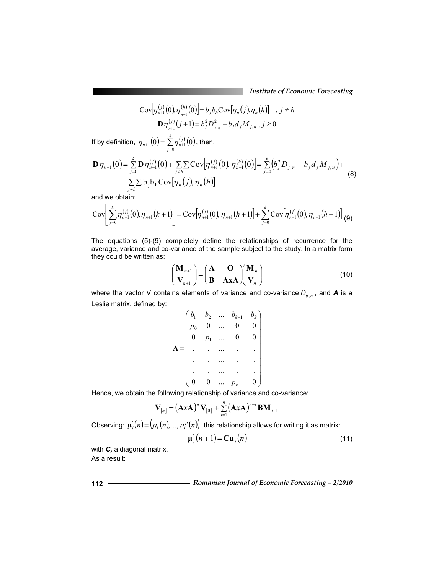*Institute of Economic Forecasting*

$$
\text{Cov}\Big[\eta_{n+1}^{(j)}(0),\eta_{n+1}^{(h)}(0)\Big] = b_j b_h \text{Cov}\Big[\eta_n(j),\eta_n(h)\Big] , j \neq h
$$
  

$$
\mathbf{D}\eta_{n+1}^{(j)}(j+1) = b_j^2 D_{j,n}^2 + b_j d_j M_{j,n} , j \ge 0
$$

If by definition,  $\eta_{n+1}(0) = \sum_{j=0}^{k} \eta_{n+1}^{(j)}(0)$ *j*  $\eta_{n+1}(0) = \sum_{i=0}^{k} \eta_{n+1}^{(i)}(0)$ , then,

$$
\mathbf{D}\eta_{n+1}(0) = \sum_{j=0}^{k} \mathbf{D}\eta_{n+1}^{(j)}(0) + \sum_{j\neq h} \sum \text{Cov}[\eta_{n+1}^{(j)}(0), \eta_{n+1}^{(h)}(0)] = \sum_{j=0}^{k} (b_j^2 D_{j,n} + b_j d_j M_{j,n}) + \sum_{j\neq h} \sum \text{b}_j \mathbf{b}_h \text{Cov}[\eta_n(j), \eta_n(h)]
$$
\n(8)

and we obtain:

$$
Cov\bigg[\sum_{j=0}^{k} \eta_{n+1}^{(j)}(0), \eta_{n+1}(k+1)\bigg] = Cov\big[\eta_{n+1}^{(j)}(0), \eta_{n+1}(h+1)\big] + \sum_{j=0}^{k} Cov\big[\eta_{n+1}^{(j)}(0), \eta_{n+1}(h+1)\big]_{(9)}
$$

The equations (5)-(9) completely define the relationships of recurrence for the average, variance and co-variance of the sample subject to the study. In a matrix form they could be written as:

$$
\begin{pmatrix} \mathbf{M}_{n+1} \\ \mathbf{V}_{n+1} \end{pmatrix} = \begin{pmatrix} \mathbf{A} & \mathbf{O} \\ \mathbf{B} & \mathbf{A} \mathbf{X} \mathbf{A} \end{pmatrix} \begin{pmatrix} \mathbf{M}_{n} \\ \mathbf{V}_{n} \end{pmatrix}
$$
(10)

where the vector V contains elements of variance and co-variance  $D_{ij,n}$ , and **A** is a Leslie matrix, defined by:

$$
\mathbf{A} = \begin{pmatrix} b_1 & b_2 & \dots & b_{k-1} & b_k \\ p_0 & 0 & \dots & 0 & 0 \\ 0 & p_1 & \dots & 0 & 0 \\ \vdots & \vdots & \ddots & \vdots & \vdots \\ p_0 & \dots & \dots & \vdots & \vdots \\ \vdots & \vdots & \vdots & \vdots & \vdots \\ p_0 & 0 & \dots & p_{k-1} & 0 \end{pmatrix}
$$

Hence, we obtain the following relationship of variance and co-variance:

$$
V_{[n]} = (A x A)^n V_{[0]} + \sum_{i=1}^n (A x A)^{n-i} BM_{i-1}
$$

Observing:  $\mu_i(n) = (\mu_i^1(n), ..., \mu_i^p(n))$ , this relationship allows for writing it as matrix:

$$
\mu_i(n+1) = \mathbf{C}\mu_i(n) \tag{11}
$$

with *C,* a diagonal matrix. As a result:

**<sup>112</sup>** *Romanian Journal of Economic Forecasting – 2/2010*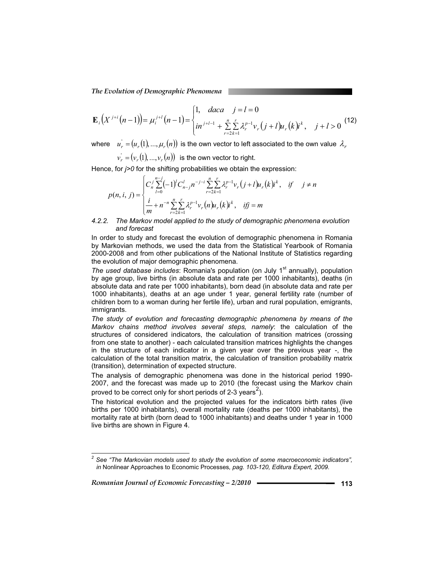*The Evolution of Demographic Phenomena* 

$$
\mathbf{E}_{i}\left(X^{j+i}\left(n-1\right)\right)=\mu_{i}^{j+l}\left(n-1\right)=\begin{cases} 1, & \text{daca} \quad j=l=0\\ \sin^{j+l-1}+\sum_{r=2k=1}^{n} \sum_{k=1}^{r} \lambda_{r}^{p-1} \nu_{r}\left(j+l\right) u_{r}\left(k\right) i^{k}, & \text{ } j+l>0 \end{cases} (12)
$$

where  $u'_{r} = (u_{r}(1), ..., \mu_{r}(n))$  is the own vector to left associated to the own value  $\lambda_{r}$ 

 $v_r = (v_r(1), ..., v_r(n))$  is the own vector to right.

Hence, for *j>0* for the shifting probabilities we obtain the expression:

$$
p(n, i, j) = \begin{cases} C'_{n} \sum_{l=0}^{n-j} (-1)^{l} C'_{n-j} n^{-j-i} \sum_{r=2k=1}^{n} \sum_{k=1}^{r} \lambda_{r}^{p-1} v_{r}(j+l) u_{r}(k) i^{k}, & if j \neq n \\ \frac{i}{m} + n^{-n} \sum_{r=2k=1}^{n} \lambda_{r}^{p-1} v_{r}(n) u_{r}(k) i^{k}, & if j = m \end{cases}
$$

#### *4.2.2. The Markov model applied to the study of demographic phenomena evolution and forecast*

In order to study and forecast the evolution of demographic phenomena in Romania by Markovian methods, we used the data from the Statistical Yearbook of Romania 2000-2008 and from other publications of the National Institute of Statistics regarding the evolution of major demographic phenomena.

*The used database includes*: Romania's population (on July 1<sup>st</sup> annually), population by age group, live births (in absolute data and rate per 1000 inhabitants), deaths (in absolute data and rate per 1000 inhabitants), born dead (in absolute data and rate per 1000 inhabitants), deaths at an age under 1 year, general fertility rate (number of children born to a woman during her fertile life), urban and rural population, emigrants, immigrants.

*The study of evolution and forecasting demographic phenomena by means of the Markov chains method involves several steps, namely*: the calculation of the structures of considered indicators, the calculation of transition matrices (crossing from one state to another) - each calculated transition matrices highlights the changes in the structure of each indicator in a given year over the previous year -, the calculation of the total transition matrix, the calculation of transition probability matrix (transition), determination of expected structure.

The analysis of demographic phenomena was done in the historical period 1990- 2007, and the forecast was made up to 2010 (the forecast using the Markov chain proved to be correct only for short periods of 2-3 years<sup>2</sup>).

The historical evolution and the projected values for the indicators birth rates (live births per 1000 inhabitants), overall mortality rate (deaths per 1000 inhabitants), the mortality rate at birth (born dead to 1000 inhabitants) and deaths under 1 year in 1000 live births are shown in Figure 4.

*Romanian Journal of Economic Forecasting – 2/2010* **<sup>113</sup>**

 $\overline{a}$ 

*<sup>2</sup> See "The Markovian models used to study the evolution of some macroeconomic indicators", in* Nonlinear Approaches to Economic Processes*, pag. 103-120, Editura Expert, 2009.*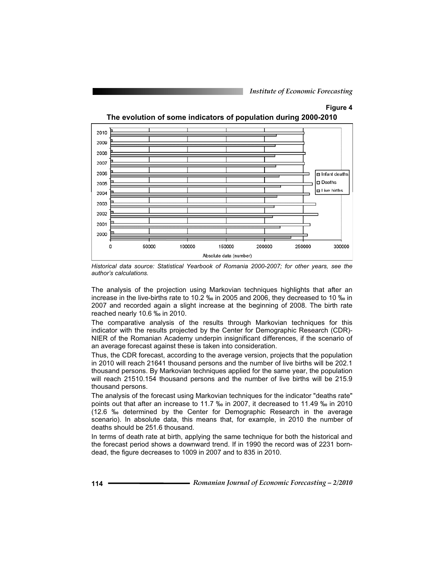# **Figure 4 The evolution of some indicators of population during 2000-2010**



*Historical data source: Statistical Yearbook of Romania 2000-2007; for other years, see the author's calculations.* 

The analysis of the projection using Markovian techniques highlights that after an increase in the live-births rate to 10.2 ‰ in 2005 and 2006, they decreased to 10 ‰ in 2007 and recorded again a slight increase at the beginning of 2008. The birth rate reached nearly 10.6 ‰ in 2010.

The comparative analysis of the results through Markovian techniques for this indicator with the results projected by the Center for Demographic Research (CDR)- NIER of the Romanian Academy underpin insignificant differences, if the scenario of an average forecast against these is taken into consideration.

Thus, the CDR forecast, according to the average version, projects that the population in 2010 will reach 21641 thousand persons and the number of live births will be 202.1 thousand persons. By Markovian techniques applied for the same year, the population will reach 21510.154 thousand persons and the number of live births will be 215.9 thousand persons.

The analysis of the forecast using Markovian techniques for the indicator "deaths rate" points out that after an increase to 11.7 ‰ in 2007, it decreased to 11.49 ‰ in 2010 (12.6 ‰ determined by the Center for Demographic Research in the average scenario). In absolute data, this means that, for example, in 2010 the number of deaths should be 251.6 thousand.

In terms of death rate at birth, applying the same technique for both the historical and the forecast period shows a downward trend. If in 1990 the record was of 2231 borndead, the figure decreases to 1009 in 2007 and to 835 in 2010.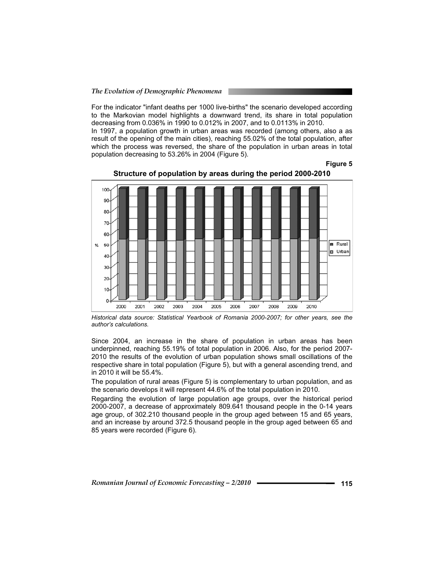For the indicator "infant deaths per 1000 live-births" the scenario developed according to the Markovian model highlights a downward trend, its share in total population decreasing from 0.036% in 1990 to 0.012% in 2007, and to 0.0113% in 2010.

In 1997, a population growth in urban areas was recorded (among others, also a as result of the opening of the main cities), reaching 55.02% of the total population, after which the process was reversed, the share of the population in urban areas in total population decreasing to 53.26% in 2004 (Figure 5).

**Figure 5** 



**Structure of population by areas during the period 2000-2010**

*Historical data source: Statistical Yearbook of Romania 2000-2007; for other years, see the author's calculations.* 

Since 2004, an increase in the share of population in urban areas has been underpinned, reaching 55.19% of total population in 2006. Also, for the period 2007- 2010 the results of the evolution of urban population shows small oscillations of the respective share in total population (Figure 5), but with a general ascending trend, and in 2010 it will be 55.4%.

The population of rural areas (Figure 5) is complementary to urban population, and as the scenario develops it will represent 44.6% of the total population in 2010.

Regarding the evolution of large population age groups, over the historical period 2000-2007, a decrease of approximately 809.641 thousand people in the 0-14 years age group, of 302.210 thousand people in the group aged between 15 and 65 years, and an increase by around 372.5 thousand people in the group aged between 65 and 85 years were recorded (Figure 6).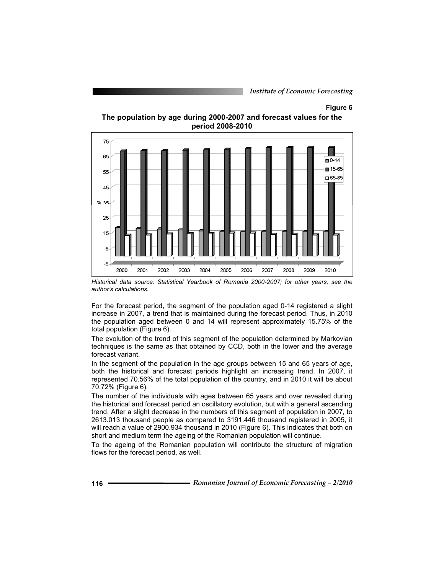*Institute of Economic Forecasting*

#### **Figure 6**



**The population by age during 2000-2007 and forecast values for the period 2008-2010** 

*Historical data source: Statistical Yearbook of Romania 2000-2007; for other years, see the author's calculations.* 

For the forecast period, the segment of the population aged 0-14 registered a slight increase in 2007, a trend that is maintained during the forecast period. Thus, in 2010 the population aged between 0 and 14 will represent approximately 15.75% of the total population (Figure 6).

The evolution of the trend of this segment of the population determined by Markovian techniques is the same as that obtained by CCD, both in the lower and the average forecast variant.

In the segment of the population in the age groups between 15 and 65 years of age, both the historical and forecast periods highlight an increasing trend. In 2007, it represented 70.56% of the total population of the country, and in 2010 it will be about 70.72% (Figure 6).

The number of the individuals with ages between 65 years and over revealed during the historical and forecast period an oscillatory evolution, but with a general ascending trend. After a slight decrease in the numbers of this segment of population in 2007, to 2613.013 thousand people as compared to 3191.446 thousand registered in 2005, it will reach a value of 2900.934 thousand in 2010 (Figure 6). This indicates that both on short and medium term the ageing of the Romanian population will continue.

To the ageing of the Romanian population will contribute the structure of migration flows for the forecast period, as well.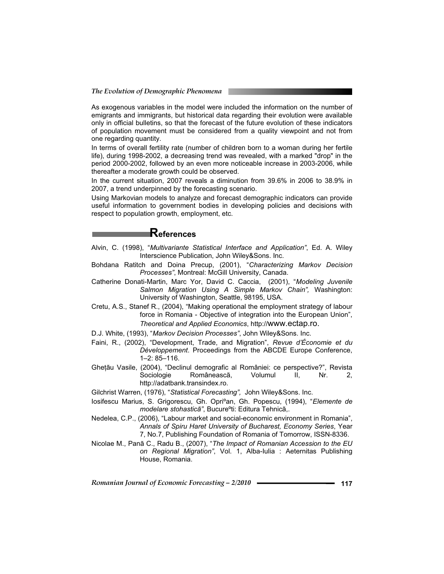As exogenous variables in the model were included the information on the number of emigrants and immigrants, but historical data regarding their evolution were available only in official bulletins, so that the forecast of the future evolution of these indicators of population movement must be considered from a quality viewpoint and not from one regarding quantity.

In terms of overall fertility rate (number of children born to a woman during her fertile life), during 1998-2002, a decreasing trend was revealed, with a marked "drop" in the period 2000-2002, followed by an even more noticeable increase in 2003-2006, while thereafter a moderate growth could be observed.

In the current situation, 2007 reveals a diminution from 39.6% in 2006 to 38.9% in 2007, a trend underpinned by the forecasting scenario.

Using Markovian models to analyze and forecast demographic indicators can provide useful information to government bodies in developing policies and decisions with respect to population growth, employment, etc.

## **References**

- Alvin, C. (1998), "*Multivariante Statistical Interface and Application"*, Ed. A. Wiley Interscience Publication, John Wiley&Sons. Inc.
- Bohdana Ratitch and Doina Precup, (2001), "*Characterizing Markov Decision Processes"*, Montreal: McGill University, Canada.
- Catherine Donati-Martin, Marc Yor, David C. Caccia, (2001), "*Modeling Juvenile Salmon Migration Using A Simple Markov Chain",* Washington: University of Washington, Seattle, 98195, USA.
- Cretu, A.S., Stanef R., (2004), "Making operational the employment strategy of labour force in Romania - Objective of integration into the European Union", *Theoretical and Applied Economics*, http://www.ectap.ro.
- D.J. White, (1993), "*Markov Decision Processes"*, John Wiley&Sons. Inc.
- Faini, R., (2002), "Development, Trade, and Migration", *Revue d'Économie et du Développement*. Proceedings from the ABCDE Europe Conference, 1–2: 85–116.
- Ghețãu Vasile, (2004), "Declinul demografic al României: ce perspective?", Revista<br>Sociologie Româneascã, Volumul II, Nr. 2, Româneascã, Volumul II, Nr. 2, http://adatbank.transindex.ro.
- Gilchrist Warren, (1976), "*Statistical Forecasting",* John Wiley&Sons. Inc.
- Iosifescu Marius, S. Grigorescu, Gh. Opriºan, Gh. Popescu, (1994), "*Elemente de modelare stohasticã"*, Bucureºti: Editura Tehnicã,.
- Nedelea, C.P., (2006), "Labour market and social-economic environment in Romania", *Annals of Spiru Haret University of Bucharest, Economy Series*, Year 7, No.7, Publishing Foundation of Romania of Tomorrow, ISSN-8336.
- Nicolae M., Panã C., Radu B., (2007), "*The Impact of Romanian Accession to the EU on Regional Migration"*, Vol. 1, Alba-Iulia : Aeternitas Publishing House, Romania.